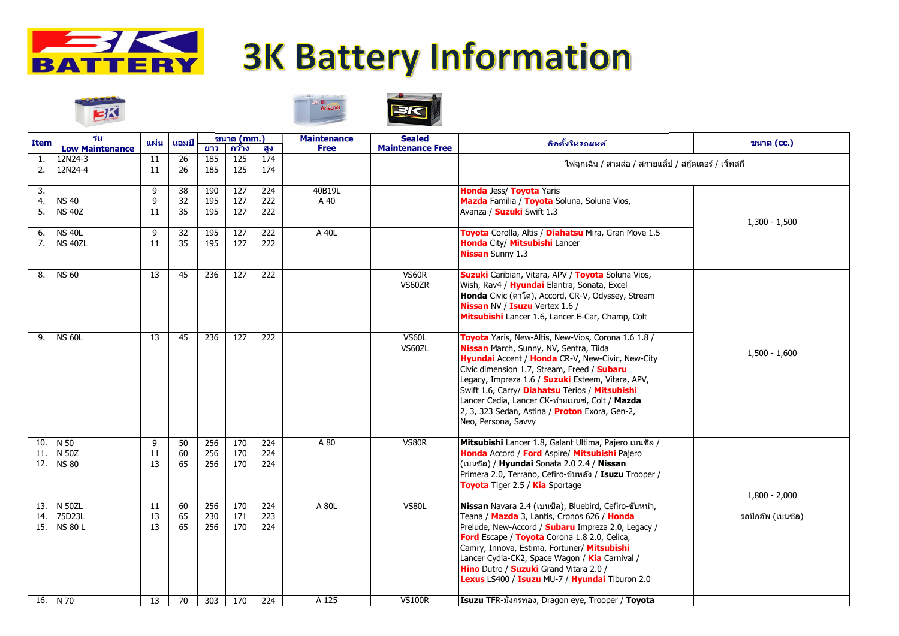

## **3K Battery Information**







| <b>Item</b>       | ร่น<br><b>Low Maintenance</b>             | แผ่น            | ีแอมป์         | ยาว               | ุขนาด (mm.)<br>กว้าง | สูง               | <b>Maintenance</b><br><b>Free</b> | <b>Sealed</b><br><b>Maintenance Free</b> | ี ติดตั้งในรถยน <b>ต</b> ั                                                                                                                                                                                                                                                                                                                                                                                                                                      | ขนาด (cc.)                           |
|-------------------|-------------------------------------------|-----------------|----------------|-------------------|----------------------|-------------------|-----------------------------------|------------------------------------------|-----------------------------------------------------------------------------------------------------------------------------------------------------------------------------------------------------------------------------------------------------------------------------------------------------------------------------------------------------------------------------------------------------------------------------------------------------------------|--------------------------------------|
| 2.                | 12N24-3<br>12N24-4                        | <b>11</b><br>11 | 26<br>26       | 185<br>185        | 125<br>125           | 174<br>174        |                                   |                                          | ี่ ไฟฉุกเฉิน / สามล้อ / สกายแล็ป / สกู๊ดเตอร์ / เจ็ทสกี                                                                                                                                                                                                                                                                                                                                                                                                         |                                      |
| 3.<br>4.<br>5.    | <b>NS 40</b><br><b>NS 40Z</b>             | 9<br>9<br>11    | 38<br>32<br>35 | 190<br>195<br>195 | 127<br>127<br>127    | 224<br>222<br>222 | 40B19L<br>A 40                    |                                          | <b>Honda</b> Jess/ Toyota Yaris<br>Mazda Familia / Toyota Soluna, Soluna Vios,<br>Avanza / Suzuki Swift 1.3                                                                                                                                                                                                                                                                                                                                                     | $1,300 - 1,500$                      |
| 6.<br>7.          | <b>NS 40L</b><br>NS 40ZL                  | 9<br>11         | 32<br>35       | 195<br>195        | 127<br>127           | 222<br>222        | A 40L                             |                                          | Toyota Corolla, Altis / Diahatsu Mira, Gran Move 1.5<br><b>Honda City/ Mitsubishi Lancer</b><br><b>Nissan</b> Sunny 1.3                                                                                                                                                                                                                                                                                                                                         |                                      |
| 8.                | <b>NS 60</b>                              | 13              | 45             | 236               | 127                  | 222               |                                   | VS60R<br>VS60ZR                          | <b>Suzuki</b> Caribian, Vitara, APV / Toyota Soluna Vios,<br>Wish, Rav4 / Hyundai Elantra, Sonata, Excel<br><b>Honda</b> Civic (ตาโต), Accord, CR-V, Odyssey, Stream<br><b>Nissan NV / Isuzu Vertex 1.6 /</b><br>Mitsubishi Lancer 1.6, Lancer E-Car, Champ, Colt                                                                                                                                                                                               | $1,500 - 1,600$                      |
| 9.                | <b>NS 60L</b>                             | 13              | 45             | 236               | 127                  | 222               |                                   | <b>VS60L</b><br>VS60ZL                   | Toyota Yaris, New-Altis, New-Vios, Corona 1.6 1.8 /<br><b>Nissan</b> March, Sunny, NV, Sentra, Tiida<br><b>Hyundai</b> Accent / <b>Honda</b> CR-V, New-Civic, New-City<br>Civic dimension 1.7, Stream, Freed / Subaru<br>Legacy, Impreza 1.6 / <b>Suzuki</b> Esteem, Vitara, APV,<br>Swift 1.6, Carry/ Diahatsu Terios / Mitsubishi<br>Lancer Cedia, Lancer CK-ท้ายเบนซ์, Colt / Mazda<br>2, 3, 323 Sedan, Astina / Proton Exora, Gen-2,<br>Neo, Persona, Savvy |                                      |
| 10.<br>12.        | N 50<br>N 50Z<br><b>NS 80</b>             | 9<br>11<br>13   | 50<br>60<br>65 | 256<br>256<br>256 | 170<br>170<br>170    | 224<br>224<br>224 | A 80                              | VS80R                                    | Mitsubishi Lancer 1.8, Galant Ultima, Pajero เบนซิล /<br>Honda Accord / Ford Aspire/ Mitsubishi Pajero<br> (เบนซิล) / <b>Hyundai</b> Sonata 2.0 2.4 / <b>Nissan</b><br> Primera 2.0, Terrano, Cefiro-ขับหลัง / Isuzu Trooper /<br><b>Toyota</b> Tiger 2.5 / <b>Kia</b> Sportage                                                                                                                                                                                 | $1,800 - 2,000$<br>รถปิกอัพ (เบนซิล) |
| 13.<br>14.<br>15. | <b>N 50ZL</b><br>75D23L<br><b>NS 80 L</b> | 11<br>13<br>13  | 60<br>65<br>65 | 256<br>230<br>256 | 170<br>171<br>170    | 224<br>223<br>224 | A 80L                             | VS80L                                    | <b>Nissan</b> Navara 2.4 (เบนซิล), Bluebird, Cefiro-ขับหน้า,<br>Teana / Mazda 3, Lantis, Cronos 626 / Honda<br>Prelude, New-Accord / Subaru Impreza 2.0, Legacy /<br><b>Ford</b> Escape / Toyota Corona 1.8 2.0, Celica,<br>Camry, Innova, Estima, Fortuner/ Mitsubishi<br>Lancer Cydia-CK2, Space Wagon / Kia Carnival /<br><b>Hino</b> Dutro / <b>Suzuki</b> Grand Vitara 2.0 /<br>Lexus LS400 / Isuzu MU-7 / Hyundai Tiburon 2.0                             |                                      |
|                   | 16. $N$ 70                                | 13              | 70             | 303               | 170                  | 224               | A 125                             | <b>VS100R</b>                            | Isuzu TFR-มังกรทอง, Dragon eye, Trooper / Toyota                                                                                                                                                                                                                                                                                                                                                                                                                |                                      |